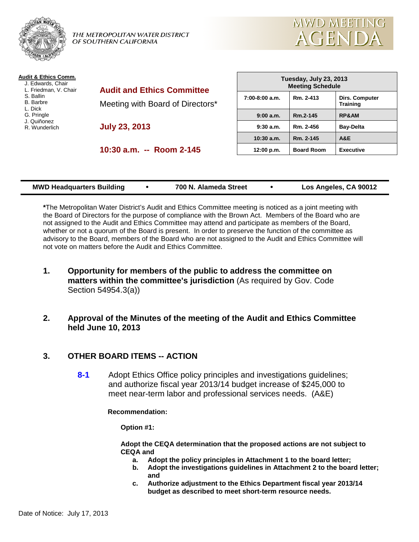

THE METROPOLITAN WATER DISTRICT OF SOUTHERN CALIFORNIA



| Audit & Ethics Comm.<br>J. Edwards, Chair<br>L. Friedman, V. Chair<br>S. Ballin<br><b>B.</b> Barbre<br>L. Dick<br>G. Pringle<br>J. Quiñonez<br>R. Wunderlich | <b>Audit and Ethics Committee</b><br>Meeting with Board of Directors*<br><b>July 23, 2013</b> | Tuesday, July 23, 2013<br><b>Meeting Schedule</b> |                   |                                          |
|--------------------------------------------------------------------------------------------------------------------------------------------------------------|-----------------------------------------------------------------------------------------------|---------------------------------------------------|-------------------|------------------------------------------|
|                                                                                                                                                              |                                                                                               | $7:00-8:00$ a.m.                                  | Rm. 2-413         | <b>Dirs. Computer</b><br><b>Training</b> |
|                                                                                                                                                              |                                                                                               | 9:00 a.m.                                         | Rm.2-145          | <b>RP&amp;AM</b>                         |
|                                                                                                                                                              |                                                                                               | $9:30$ a.m.                                       | Rm. 2-456         | <b>Bay-Delta</b>                         |
|                                                                                                                                                              |                                                                                               | $10:30$ a.m.                                      | Rm. 2-145         | A&E                                      |
|                                                                                                                                                              | 10:30 a.m. -- Room 2-145                                                                      | 12:00 p.m.                                        | <b>Board Room</b> | <b>Executive</b>                         |
|                                                                                                                                                              |                                                                                               |                                                   |                   |                                          |

| <b>MWD Headquarters Building</b> |  | 700 N. Alameda Street |  | Los Angeles, CA 90012 |
|----------------------------------|--|-----------------------|--|-----------------------|
|----------------------------------|--|-----------------------|--|-----------------------|

**\***The Metropolitan Water District's Audit and Ethics Committee meeting is noticed as a joint meeting with the Board of Directors for the purpose of compliance with the Brown Act. Members of the Board who are not assigned to the Audit and Ethics Committee may attend and participate as members of the Board, whether or not a quorum of the Board is present. In order to preserve the function of the committee as advisory to the Board, members of the Board who are not assigned to the Audit and Ethics Committee will not vote on matters before the Audit and Ethics Committee.

- **1. Opportunity for members of the public to address the committee on matters within the committee's jurisdiction** (As required by Gov. Code Section 54954.3(a))
- **2. Approval of the Minutes of the meeting of the Audit and Ethics Committee held June 10, 2013**

## **3. OTHER BOARD ITEMS -- ACTION**

**8-1** Adopt Ethics Office policy principles and investigations guidelines; and authorize fiscal year 2013/14 budget increase of \$245,000 to meet near-term labor and professional services needs. (A&E)

**Recommendation:**

**Option #1:**

**Adopt the CEQA determination that the proposed actions are not subject to CEQA and** 

- **a. Adopt the policy principles in Attachment 1 to the board letter;**
	- **b. Adopt the investigations guidelines in Attachment 2 to the board letter; and**
	- **c. Authorize adjustment to the Ethics Department fiscal year 2013/14 budget as described to meet short-term resource needs.**